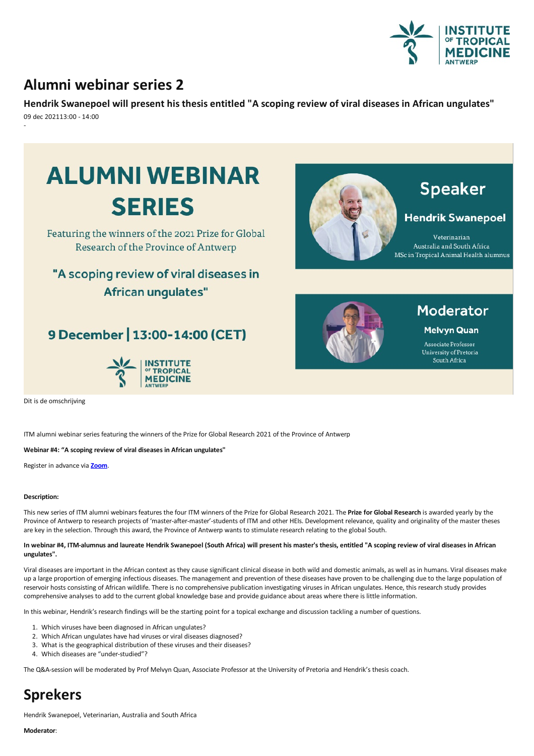

### **Alumni webinar series 2**

**HendrikSwanepoel will present his thesis entitled "A scopingreview ofviral diseases in African ungulates"** 09 dec 202113:00 - 14:00 -



### "A scoping review of viral diseases in **African unqulates"**

### 9 December | 13:00-14:00 (CET)





## **Speaker**

### **Hendrik Swanepoel**

Veterinarian Australia and South Africa MSc in Tropical Animal Health alumnus



## Moderator

**Melvyn Quan** 

Associate Professor University of Pretoria South Africa

Dit is de omschrijving

ITM alumni webinar series featuring the winners of the Prize for Global Research 2021 of the Province of Antwerp

**Webinar #4: "A scoping review of viral diseases in African ungulates"** 

Register in advance via **[Zoom](https://itg.zoom.us/webinar/register/9016375817816/WN_dD3W6pRNRJ6NXn6ycCHq3Q)**.

### **Description:**

This new series of ITM alumni webinars features the four ITM winners of the Prize for Global Research 2021.The **Prize for Global Research** isawarded yearly by the Province of Antwerp to research projects of 'master-after-master'-students of ITM and other HEIs. Development relevance, quality and originality of the master theses are key in the selection. Through this award, the Province of Antwerp wants to stimulate research relating to the global South.

#### In webinar #4, ITM-alumnus and laureate Hendrik Swanepoel (South Africa) will present his master's thesis, entitled "A scoping review of viral diseases in African **ungulates".**

Viral diseases are important in the African context as they cause significant clinical disease in both wild and domestic animals, as well as in humans. Viral diseases make up a large proportion of emerging infectious diseases. The management and prevention of these diseases have proven to be challenging due to the large population of reservoir hosts consisting of African wildlife.There is no comprehensive publication investigating viruses in African ungulates. Hence, this research study provides comprehensive analyses to add to the currentglobal knowledge base and provide guidance aboutareas where there is little information.

In this webinar, Hendrik's research findings will be the starting point for a topical exchange and discussion tackling a number of questions.

- 1. Which viruses have been diagnosed in African ungulates?
- 2. Which African ungulates have had viruses or viral diseases diagnosed?
- 3. What is the geographical distribution of these viruses and their diseases?
- 4. Which diseases are "under-studied"?

The Q&A-session will be moderated by Prof Melvyn Quan, Associate Professorat the University of Pretoriaand Hendrik's thesis coach.

# **Sprekers**

Hendrik Swanepoel, Veterinarian, Australia and South Africa

**Moderator**: